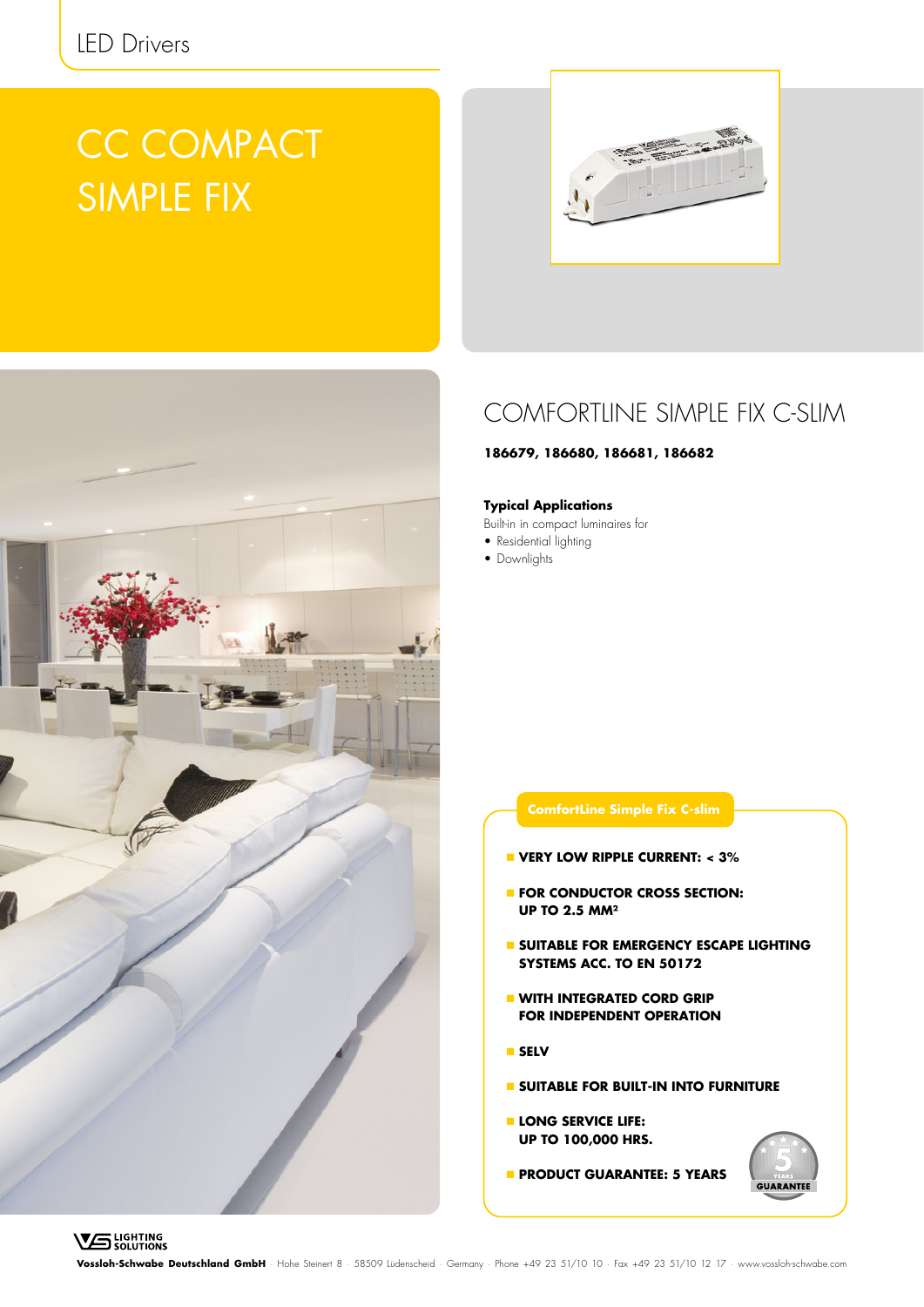# CC COMPACT SIMPLE FIX





### COMFORTLINE SIMPLE FIX C-SLIM

#### **186679, 186680, 186681, 186682**

#### **Typical Applications**

Built-in in compact luminaires for

- Residential lighting
- Downlights

### **VERY LOW RIPPLE CURRENT: < 3% FOR CONDUCTOR CROSS SECTION: UP TO 2.5 MM² SUITABLE FOR EMERGENCY ESCAPE LIGHTING SYSTEMS ACC. TO EN 50172 WITH INTEGRATED CORD GRIP FOR INDEPENDENT OPERATION**

**ComfortLine Simple Fix C-slim**

- **SELV**
- **SUITABLE FOR BUILT-IN INTO FURNITURE**
- **LONG SERVICE LIFE: UP TO 100,000 HRS.**
- **PRODUCT GUARANTEE: 5 YEARS**

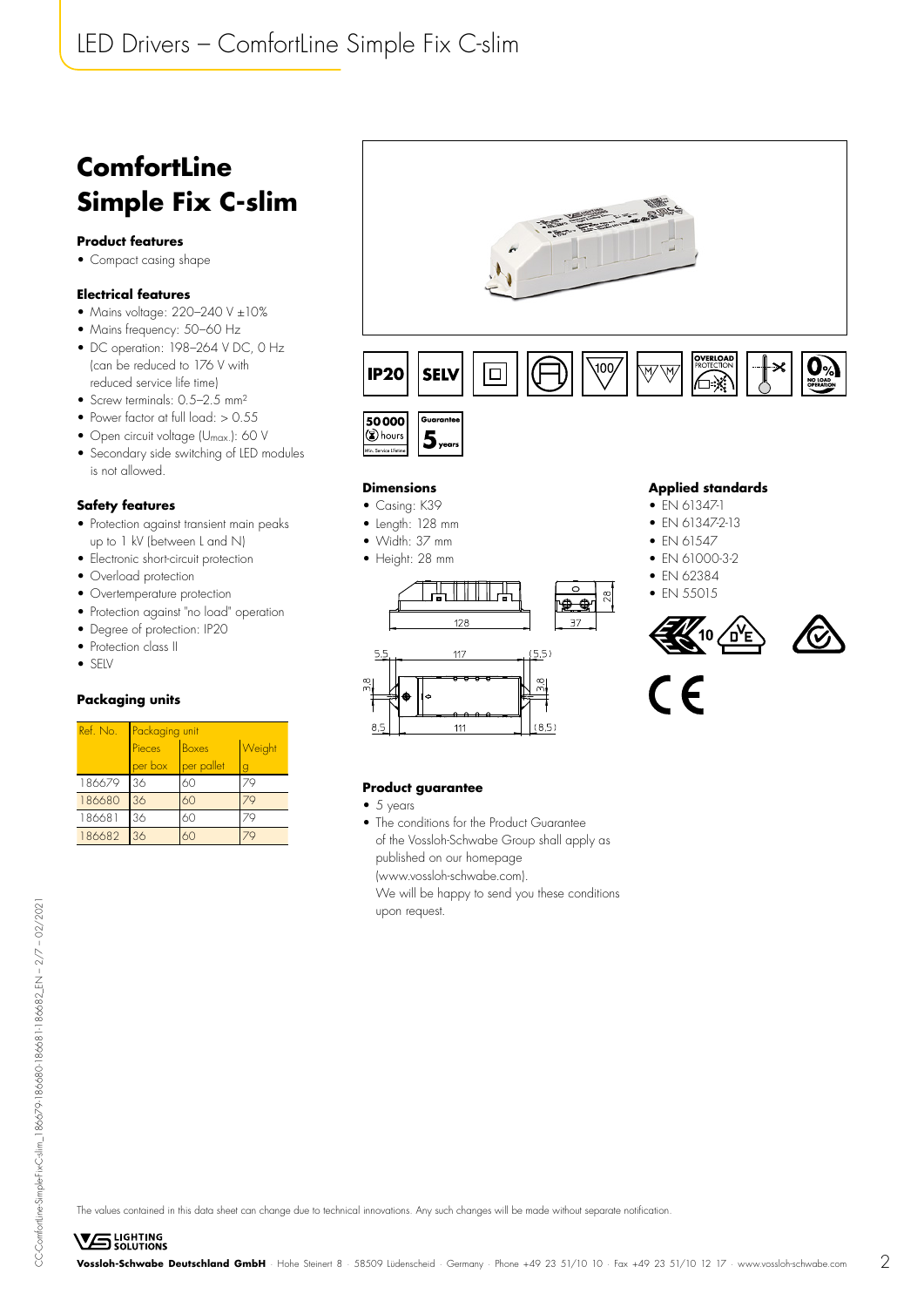## LED Drivers – ComfortLine Simple Fix C-slim

## **ComfortLine Simple Fix C-slim**

#### **Product features**

• Compact casing shape

#### **Electrical features**

- Mains voltage:  $220-240$  V  $\pm 10\%$
- Mains frequency: 50–60 Hz
- DC operation: 198–264 V DC, 0 Hz (can be reduced to 176 V with reduced service life time)
- Screw terminals: 0.5-2.5 mm<sup>2</sup>
- Power factor at full load: > 0.55
- Open circuit voltage (U<sub>max.</sub>): 60 V
- Secondary side switching of LED modules is not allowed.

#### **Safety features**

- Protection against transient main peaks up to 1 kV (between L and N)
- Electronic short-circuit protection
- Overload protection
- Overtemperature protection
- Protection against "no load" operation
- Degree of protection: IP20
- Protection class II
- SELV

#### **Packaging units**

| Ref. No. | Packaging unit         |            |        |  |  |  |  |  |
|----------|------------------------|------------|--------|--|--|--|--|--|
|          | Pieces<br><b>Boxes</b> |            | Weight |  |  |  |  |  |
|          | per box                | per pallet | g      |  |  |  |  |  |
| 186679   | 36                     | 60         |        |  |  |  |  |  |
| 186680   | 36                     | 60         |        |  |  |  |  |  |
| 186681   | 36                     | 60         |        |  |  |  |  |  |
| 186682   | 36                     | 6Ω         |        |  |  |  |  |  |



#### **Dimensions**

- Casing: K39
- Length: 128 mm
- Width: 37 mm
- Height: 28 mm



#### **Applied standards**

- EN 61347-1
- EN 61347-2-13

#### $\bullet$  FN 61547

- EN 61000-3-2
- FN 62384
- FN 55015







#### **Product guarantee**

 $• 5 years$ 

 $5.5$ 

• The conditions for the Product Guarantee of the Vossloh-Schwabe Group shall apply as published on our homepage (www.vossloh-schwabe.com).

We will be happy to send you these conditions upon request.

**VS** LIGHTING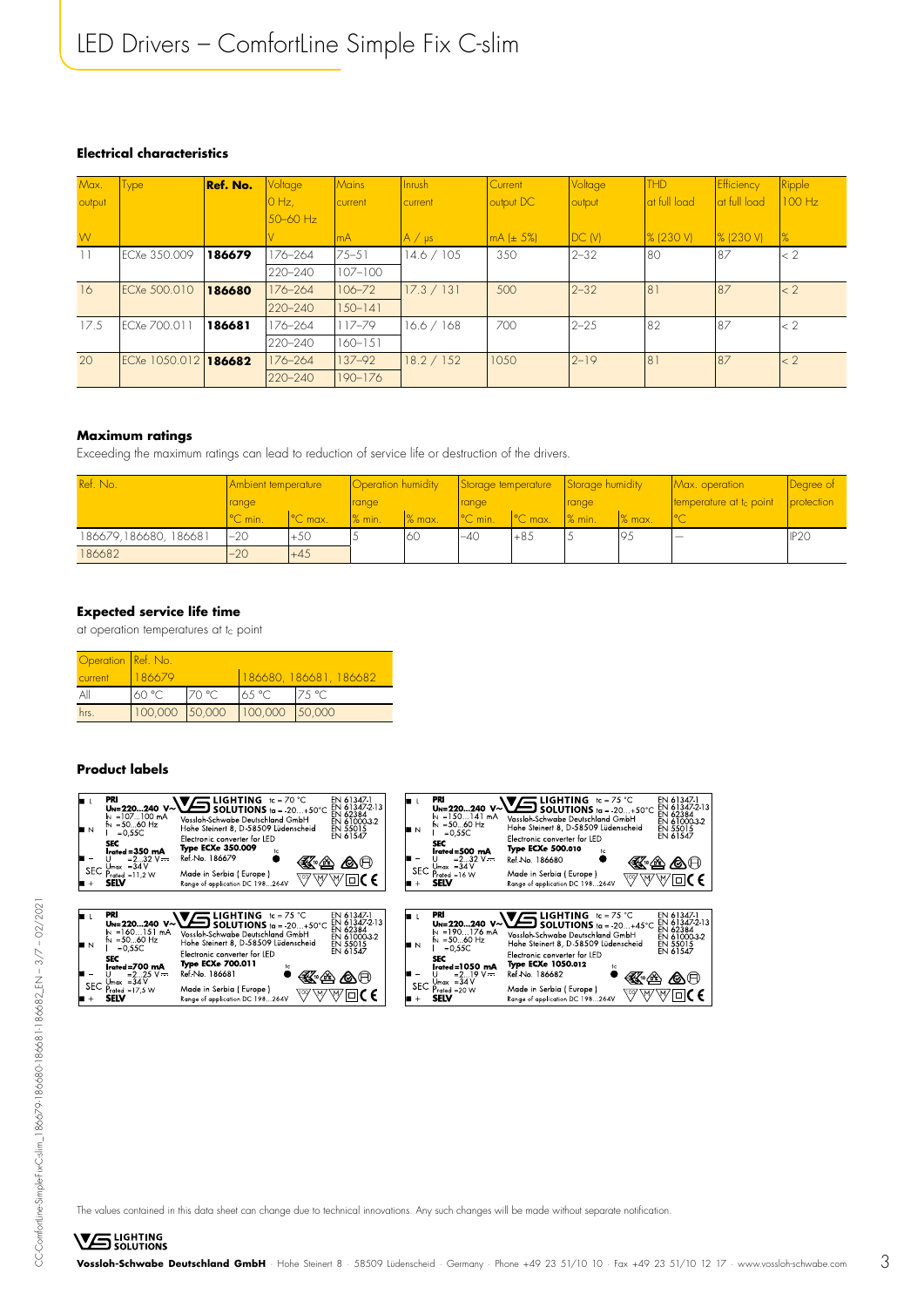#### **Electrical characteristics**

| Max.<br>output | <b>Type</b>    | Ref. No. | Voltage<br>$0$ Hz, | <i>Mains</i><br>current | Inrush<br>current | Current<br>output DC | Voltage<br>output | <b>THD</b><br>at full load | Efficiency<br>at full load | <b>Ripple</b><br>100 Hz |
|----------------|----------------|----------|--------------------|-------------------------|-------------------|----------------------|-------------------|----------------------------|----------------------------|-------------------------|
| W)             |                |          | 50-60 Hz           | mA                      | $A / \mu s$       | mA (± 5%)            | DC(W)             | $\frac{8}{230}$ V)         | $\frac{8}{230}$ V)         | $\frac{9}{6}$           |
|                | ECXe 350.009   | 186679   | 176-264            | $75 - 51$               | 14.6 / 105        | 350                  | $2 - 32$          | 80                         | 87                         | $\leq$ 2                |
|                |                |          | 220-240            | $107 - 100$             |                   |                      |                   |                            |                            |                         |
| 16             | FCXe 500.010   | 186680   | 176-264            | 106-72                  | 17.3 / 131        | 500                  | $2 - 32$          | 81                         | 87                         | $\leq 2$                |
|                |                |          | 220-240            | $150 - 141$             |                   |                      |                   |                            |                            |                         |
| 17.5           | ECXe 700.011   | 186681   | 176-264            | 117-79                  | 16.6 / 168        | 700                  | $2 - 25$          | 82                         | 87                         | < 2                     |
|                |                |          | 220-240            | 160-151                 |                   |                      |                   |                            |                            |                         |
| 20             | ECXe 1050.0121 | 186682   | 176-264            | 137-92                  | 18.2 / 152        | 1050                 | $2 - 19$          | 81                         | 87                         | $\leq 2$                |
|                |                |          | 220-240            | 190-176                 |                   |                      |                   |                            |                            |                         |

#### **Maximum ratings**

Exceeding the maximum ratings can lead to reduction of service life or destruction of the drivers.

| Ref. No.             | Ambient temperature |                      | Operation humidity |        | Storage temperature  |                  | Storage humidity   |                    | Max. operation                      | <b>Degree of</b> |
|----------------------|---------------------|----------------------|--------------------|--------|----------------------|------------------|--------------------|--------------------|-------------------------------------|------------------|
|                      | range               |                      | range              |        | <b>range</b>         |                  | range              |                    | temperature at t <sub>c</sub> point | protection       |
|                      | °C min.             | <sup>1°</sup> C max. | $\frac{1}{2}$ min. | % max. | <sup>1</sup> °C min. | $\degree$ C max. | $\frac{1}{2}$ min. | $\frac{8}{2}$ max. | $\sim$                              |                  |
| 186679,186680,186681 | $-20$               | $+50$                |                    | 160    | $-40$                | $+85$            |                    | 95                 |                                     | IP <sub>20</sub> |
| 186682               | $-20$               | $+45$                |                    |        |                      |                  |                    |                    |                                     |                  |

#### **Expected service life time**

at operation temperatures at tc point

| Operation Ref. No. |        |        |                               |                        |
|--------------------|--------|--------|-------------------------------|------------------------|
| current            | 186679 |        |                               | 186680, 186681, 186682 |
| All                | 60 °C  | 170 °C | 65 °C                         | 175 °C                 |
| hrs.               |        |        | 100,000 50,000 100,000 50,000 |                        |

#### **Product labels**



The values contained in this data sheet can change due to technical innovations. Any such changes will be made without separate notification.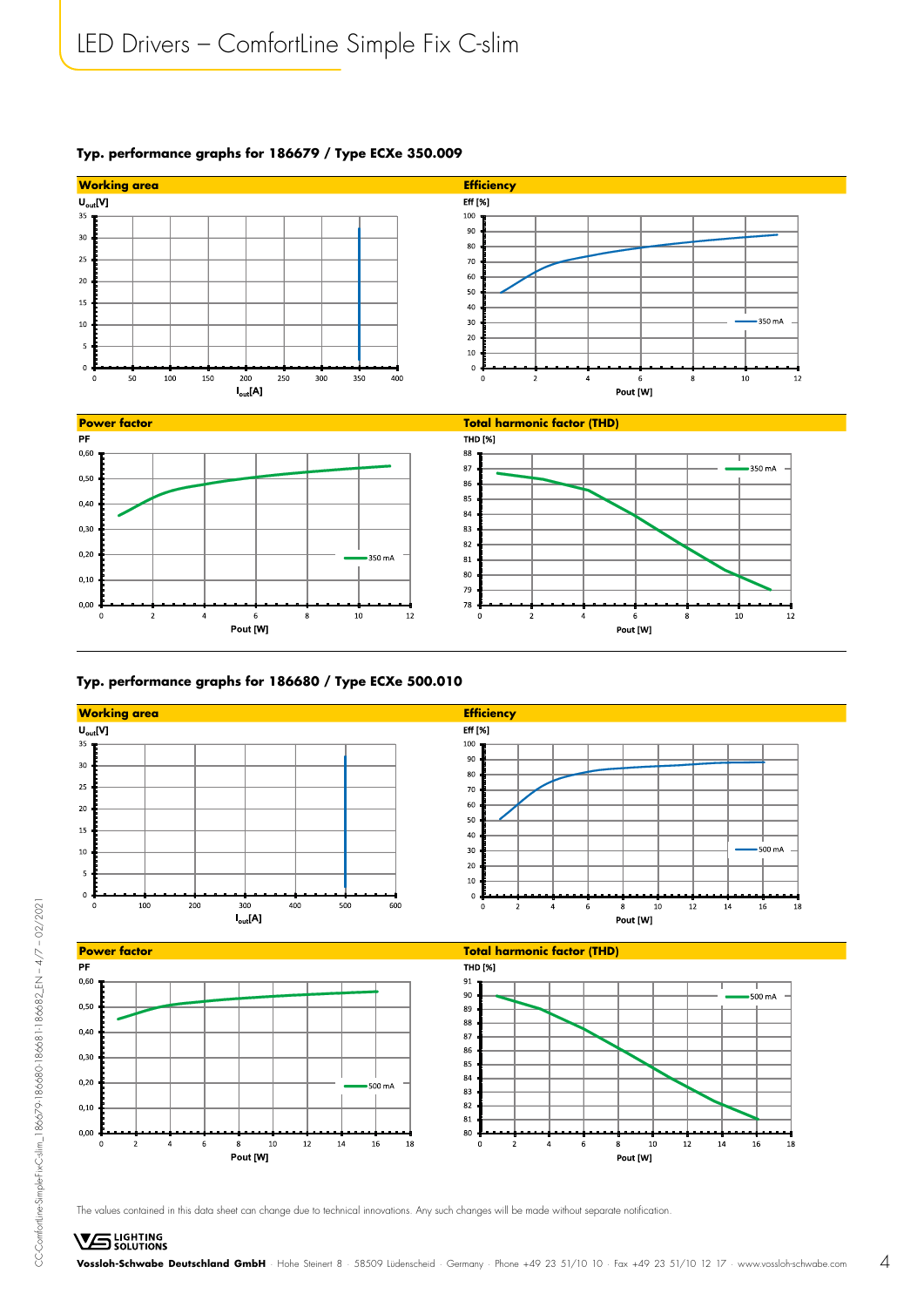

Pout [W]

Pout [W]

#### **Typ. performance graphs for 186679 / Type ECXe 350.009**

#### **Typ. performance graphs for 186680 / Type ECXe 500.010**

Pout [W]



The values contained in this data sheet can change due to technical innovations. Any such changes will be made without separate notification.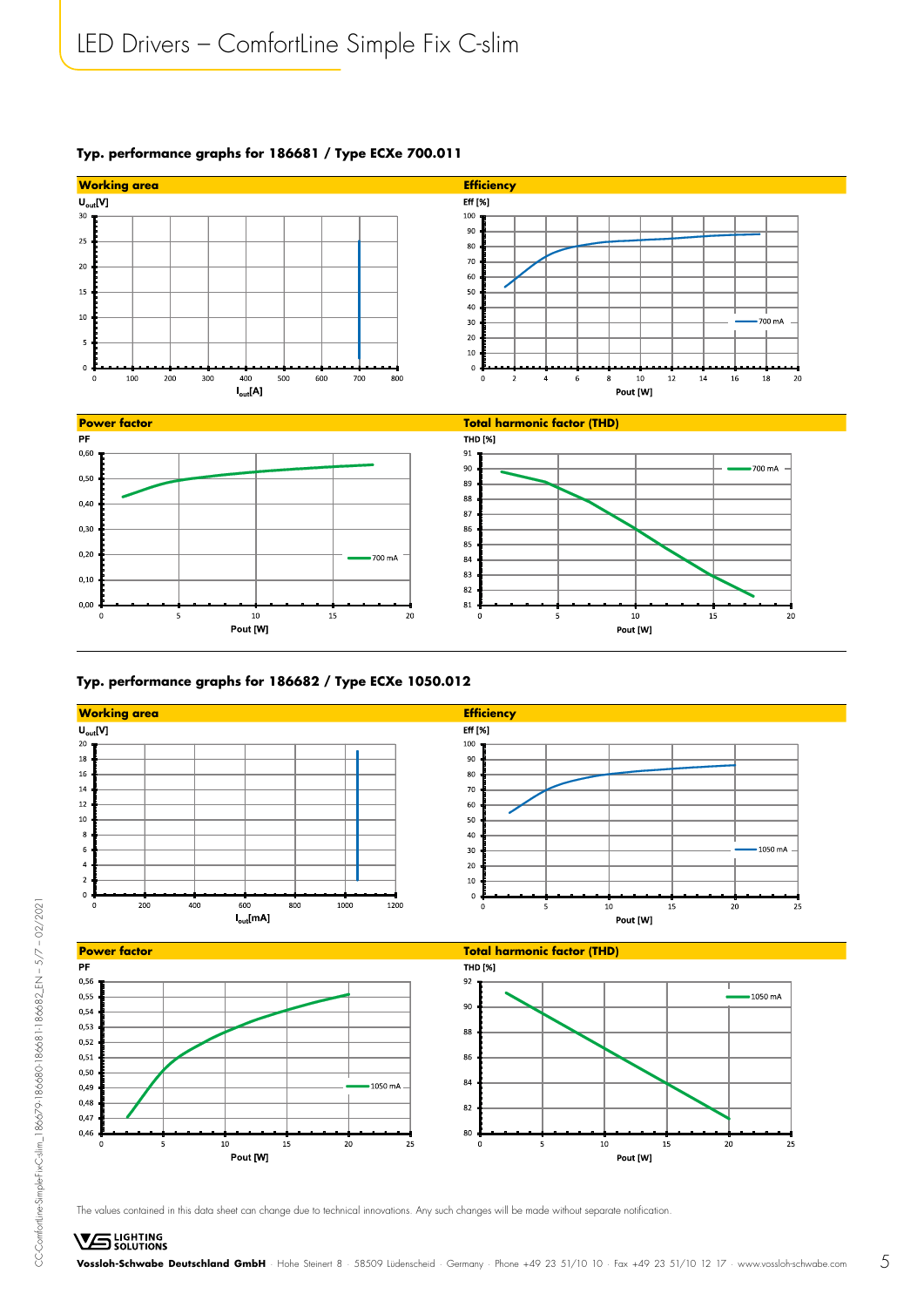

#### **Typ. performance graphs for 186681 / Type ECXe 700.011**

#### **Typ. performance graphs for 186682 / Type ECXe 1050.012**

 $10^{-1}$ 

Pout [W]

 $15\,$ 



The values contained in this data sheet can change due to technical innovations. Any such changes will be made without separate notification.

 $25$ 

 $\overline{20}$ 

CC-ComfortLine-Simple-Fix-C-slim\_186679-186680-186681-186682\_EN – 5/7 – 02/2021

CC-Comfortline-Simple-Fix-C-slim\_186679-186680-186681-186682\_EN - 5/7 - 02/2021

 $10$ 

Pout [W]

 $\overline{15}$ 

 $20$ 

 $\overline{2}$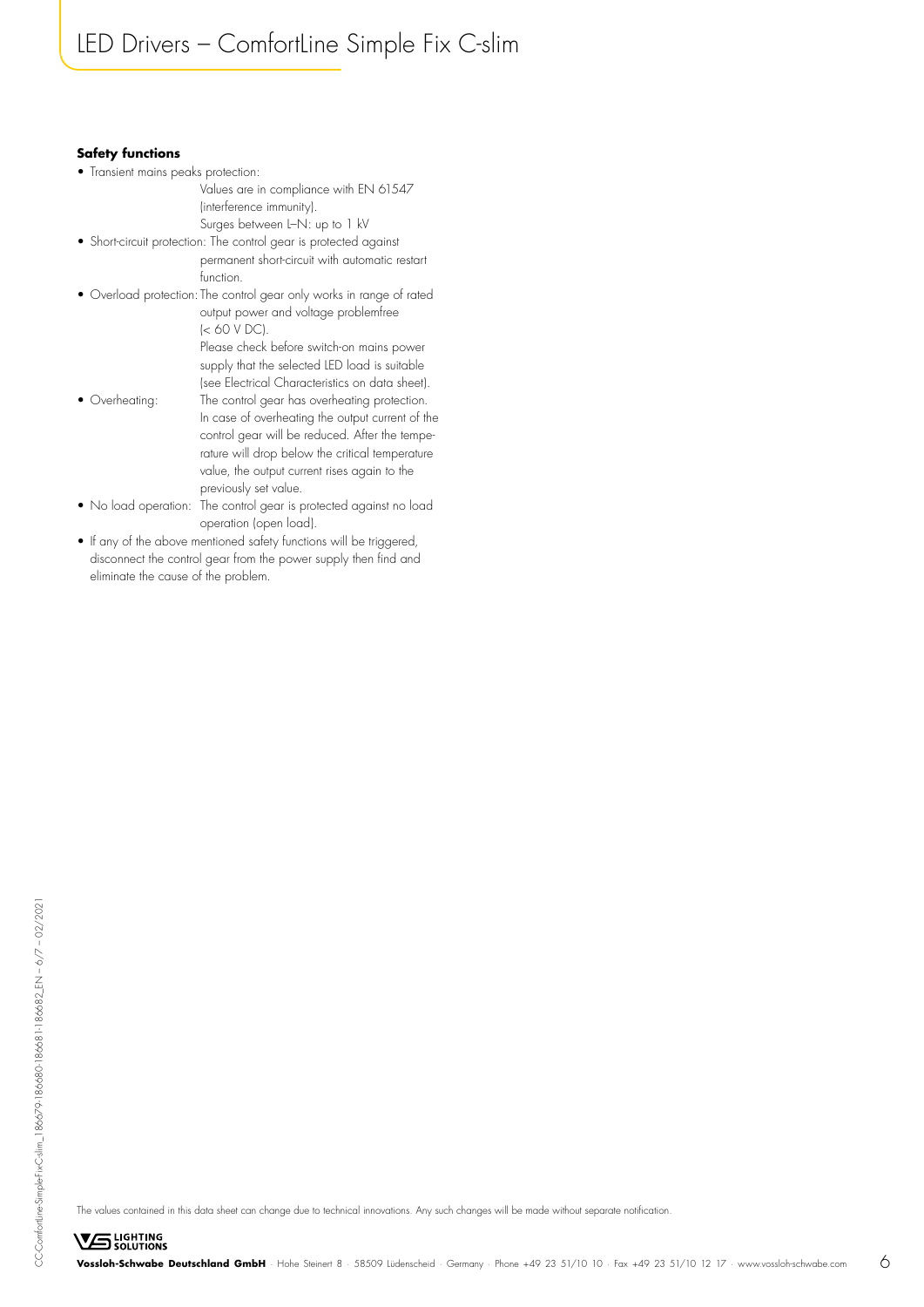#### **Safety functions**

- Transient mains peaks protection:
	- Values are in compliance with EN 61547 (interference immunity).

Surges between L–N: up to 1 kV

- Short-circuit protection: The control gear is protected against permanent short-circuit with automatic restart function.
- Overload protection: The control gear only works in range of rated output power and voltage problemfree (< 60 V DC). Please check before switch-on mains power supply that the selected LED load is suitable
- (see Electrical Characteristics on data sheet). • Overheating: The control gear has overheating protection. In case of overheating the output current of the control gear will be reduced. After the tempe rature will drop below the critical temperature value, the output current rises again to the previously set value.
- No load operation: The control gear is protected against no load operation (open load).
- If any of the above mentioned safety functions will be triggered, disconnect the control gear from the power supply then find and eliminate the cause of the problem.

The values contained in this data sheet can change due to technical innovations. Any such changes will be made without separate notification.

**VS** LIGHTING **Vossloh-Schwabe Deutschland GmbH** · Hohe Steinert 8 · 58509 Lüdenscheid · Germany · Phone +49 23 51/10 10 · Fax +49 23 51/10 12 17 · www.vossloh-schwabe.com